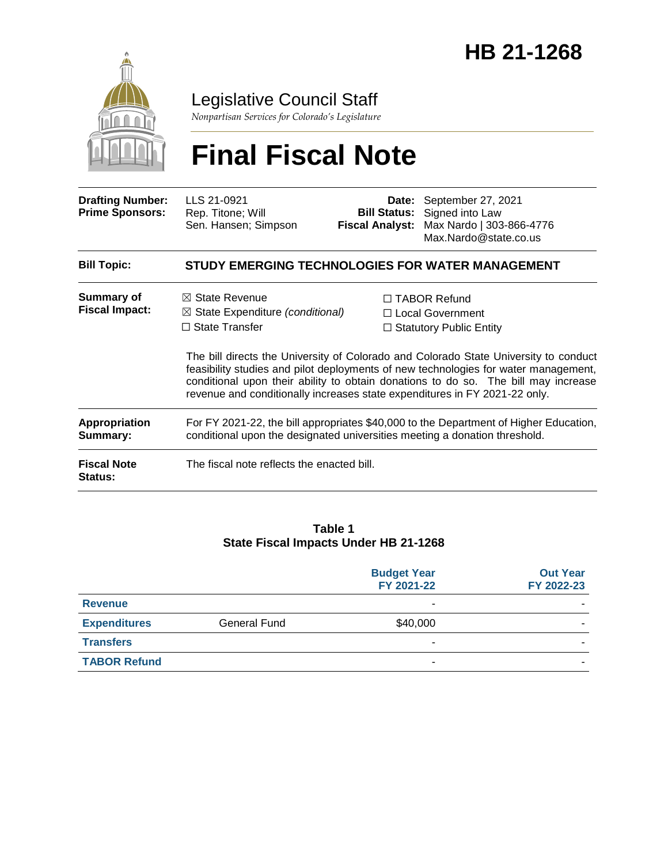

Legislative Council Staff

*Nonpartisan Services for Colorado's Legislature*

# **Final Fiscal Note**

| <b>Drafting Number:</b><br><b>Prime Sponsors:</b> | LLS 21-0921<br>Rep. Titone; Will<br>Sen. Hansen; Simpson                                                                                                                        | Date:<br><b>Bill Status:</b><br><b>Fiscal Analyst:</b> | September 27, 2021<br>Signed into Law<br>Max Nardo   303-866-4776<br>Max.Nardo@state.co.us                                                                                                                                                                                                                                                  |
|---------------------------------------------------|---------------------------------------------------------------------------------------------------------------------------------------------------------------------------------|--------------------------------------------------------|---------------------------------------------------------------------------------------------------------------------------------------------------------------------------------------------------------------------------------------------------------------------------------------------------------------------------------------------|
| <b>Bill Topic:</b>                                |                                                                                                                                                                                 |                                                        | STUDY EMERGING TECHNOLOGIES FOR WATER MANAGEMENT                                                                                                                                                                                                                                                                                            |
| Summary of<br><b>Fiscal Impact:</b>               | $\boxtimes$ State Revenue<br>$\boxtimes$ State Expenditure (conditional)<br>$\Box$ State Transfer<br>revenue and conditionally increases state expenditures in FY 2021-22 only. |                                                        | □ TABOR Refund<br>□ Local Government<br>$\Box$ Statutory Public Entity<br>The bill directs the University of Colorado and Colorado State University to conduct<br>feasibility studies and pilot deployments of new technologies for water management,<br>conditional upon their ability to obtain donations to do so. The bill may increase |
| <b>Appropriation</b><br>Summary:                  | For FY 2021-22, the bill appropriates \$40,000 to the Department of Higher Education,<br>conditional upon the designated universities meeting a donation threshold.             |                                                        |                                                                                                                                                                                                                                                                                                                                             |
| <b>Fiscal Note</b><br>Status:                     | The fiscal note reflects the enacted bill.                                                                                                                                      |                                                        |                                                                                                                                                                                                                                                                                                                                             |

#### **Table 1 State Fiscal Impacts Under HB 21-1268**

|                     |                     | <b>Budget Year</b><br>FY 2021-22 | <b>Out Year</b><br>FY 2022-23 |
|---------------------|---------------------|----------------------------------|-------------------------------|
| <b>Revenue</b>      |                     | -                                |                               |
| <b>Expenditures</b> | <b>General Fund</b> | \$40,000                         |                               |
| <b>Transfers</b>    |                     |                                  |                               |
| <b>TABOR Refund</b> |                     |                                  |                               |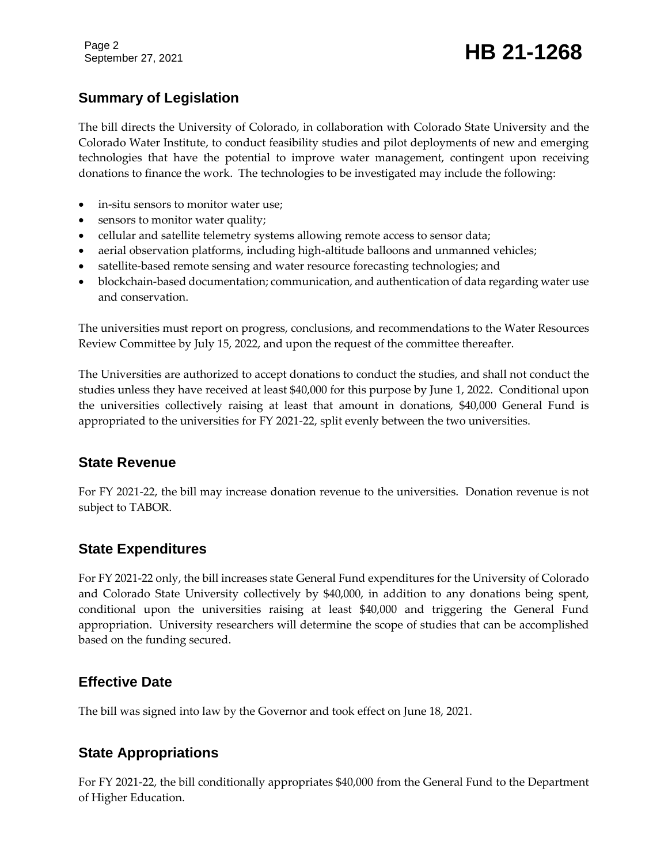Page 2

# September 27, 2021 **HB 21-1268**

### **Summary of Legislation**

The bill directs the University of Colorado, in collaboration with Colorado State University and the Colorado Water Institute, to conduct feasibility studies and pilot deployments of new and emerging technologies that have the potential to improve water management, contingent upon receiving donations to finance the work. The technologies to be investigated may include the following:

- in-situ sensors to monitor water use;
- sensors to monitor water quality;
- cellular and satellite telemetry systems allowing remote access to sensor data;
- aerial observation platforms, including high-altitude balloons and unmanned vehicles;
- satellite-based remote sensing and water resource forecasting technologies; and
- blockchain-based documentation; communication, and authentication of data regarding water use and conservation.

The universities must report on progress, conclusions, and recommendations to the Water Resources Review Committee by July 15, 2022, and upon the request of the committee thereafter.

The Universities are authorized to accept donations to conduct the studies, and shall not conduct the studies unless they have received at least \$40,000 for this purpose by June 1, 2022. Conditional upon the universities collectively raising at least that amount in donations, \$40,000 General Fund is appropriated to the universities for FY 2021-22, split evenly between the two universities.

#### **State Revenue**

For FY 2021-22, the bill may increase donation revenue to the universities. Donation revenue is not subject to TABOR.

#### **State Expenditures**

For FY 2021-22 only, the bill increases state General Fund expenditures for the University of Colorado and Colorado State University collectively by \$40,000, in addition to any donations being spent, conditional upon the universities raising at least \$40,000 and triggering the General Fund appropriation. University researchers will determine the scope of studies that can be accomplished based on the funding secured.

#### **Effective Date**

The bill was signed into law by the Governor and took effect on June 18, 2021.

#### **State Appropriations**

For FY 2021-22, the bill conditionally appropriates \$40,000 from the General Fund to the Department of Higher Education.